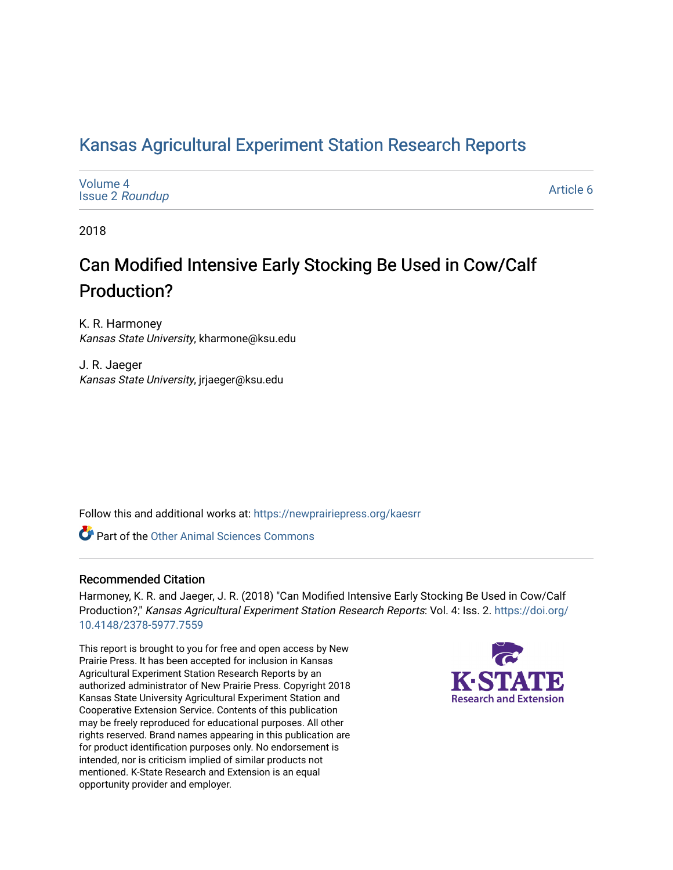## [Kansas Agricultural Experiment Station Research Reports](https://newprairiepress.org/kaesrr)

| Volume 4<br><b>Issue 2 Roundup</b> | <b>Article</b> |
|------------------------------------|----------------|
|                                    |                |

2018

## Can Modified Intensive Early Stocking Be Used in Cow/Calf Production?

K. R. Harmoney Kansas State University, kharmone@ksu.edu

J. R. Jaeger Kansas State University, jrjaeger@ksu.edu

Follow this and additional works at: [https://newprairiepress.org/kaesrr](https://newprairiepress.org/kaesrr?utm_source=newprairiepress.org%2Fkaesrr%2Fvol4%2Fiss2%2F6&utm_medium=PDF&utm_campaign=PDFCoverPages) 

**C** Part of the [Other Animal Sciences Commons](http://network.bepress.com/hgg/discipline/82?utm_source=newprairiepress.org%2Fkaesrr%2Fvol4%2Fiss2%2F6&utm_medium=PDF&utm_campaign=PDFCoverPages)

### Recommended Citation

Harmoney, K. R. and Jaeger, J. R. (2018) "Can Modified Intensive Early Stocking Be Used in Cow/Calf Production?," Kansas Agricultural Experiment Station Research Reports: Vol. 4: Iss. 2. [https://doi.org/](https://doi.org/10.4148/2378-5977.7559) [10.4148/2378-5977.7559](https://doi.org/10.4148/2378-5977.7559)

This report is brought to you for free and open access by New Prairie Press. It has been accepted for inclusion in Kansas Agricultural Experiment Station Research Reports by an authorized administrator of New Prairie Press. Copyright 2018 Kansas State University Agricultural Experiment Station and Cooperative Extension Service. Contents of this publication may be freely reproduced for educational purposes. All other rights reserved. Brand names appearing in this publication are for product identification purposes only. No endorsement is intended, nor is criticism implied of similar products not mentioned. K-State Research and Extension is an equal opportunity provider and employer.



6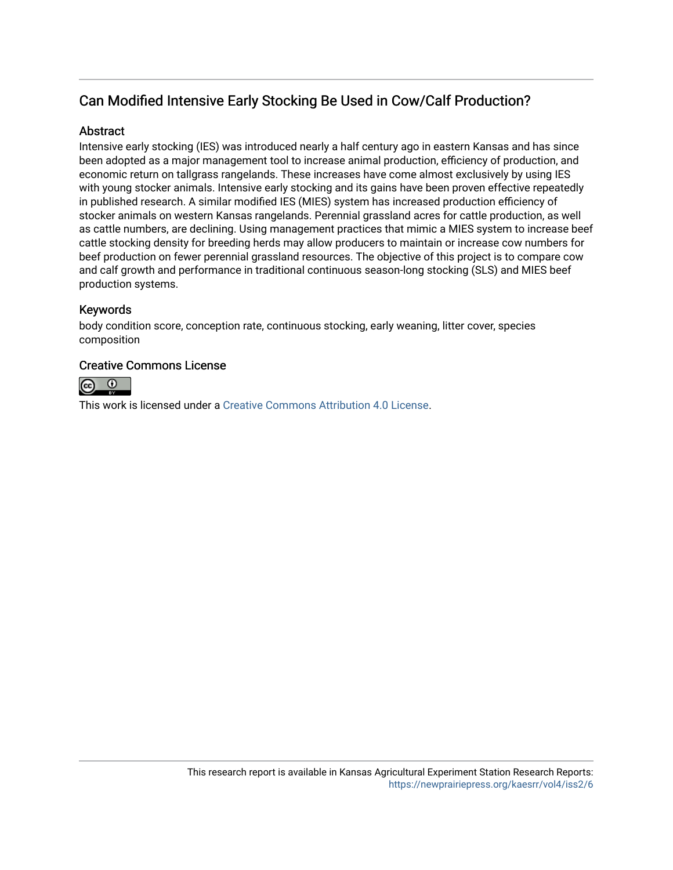## Can Modified Intensive Early Stocking Be Used in Cow/Calf Production?

### **Abstract**

Intensive early stocking (IES) was introduced nearly a half century ago in eastern Kansas and has since been adopted as a major management tool to increase animal production, efficiency of production, and economic return on tallgrass rangelands. These increases have come almost exclusively by using IES with young stocker animals. Intensive early stocking and its gains have been proven effective repeatedly in published research. A similar modified IES (MIES) system has increased production efficiency of stocker animals on western Kansas rangelands. Perennial grassland acres for cattle production, as well as cattle numbers, are declining. Using management practices that mimic a MIES system to increase beef cattle stocking density for breeding herds may allow producers to maintain or increase cow numbers for beef production on fewer perennial grassland resources. The objective of this project is to compare cow and calf growth and performance in traditional continuous season-long stocking (SLS) and MIES beef production systems.

### Keywords

body condition score, conception rate, continuous stocking, early weaning, litter cover, species composition

### Creative Commons License



This work is licensed under a [Creative Commons Attribution 4.0 License](https://creativecommons.org/licenses/by/4.0/).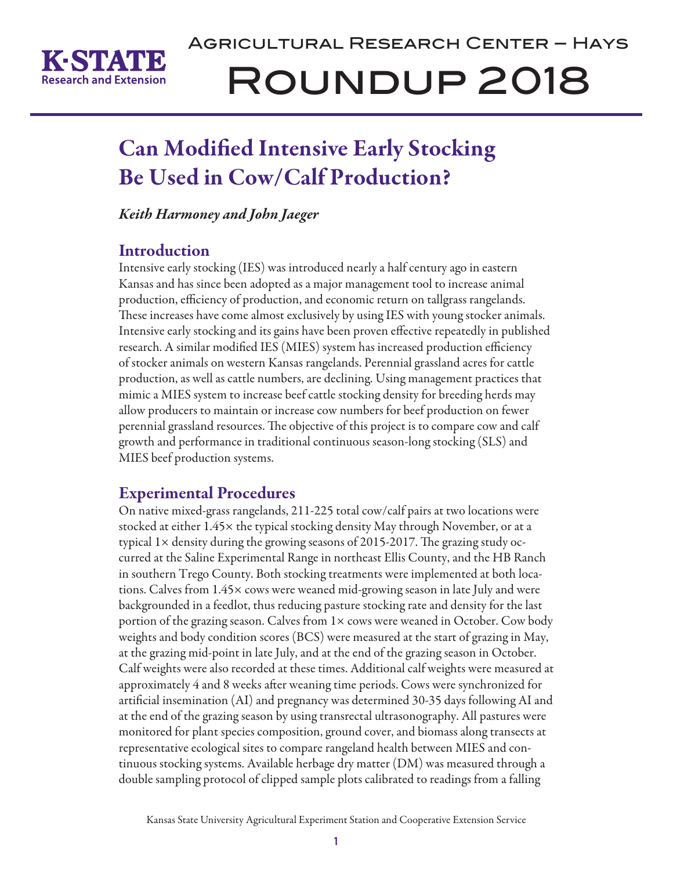

# Agricultural Research Center – Hays Roundup 2018

# Can Modified Intensive Early Stocking Be Used in Cow/Calf Production?

*Keith Harmoney and John Jaeger*

## **Introduction**

Intensive early stocking (IES) was introduced nearly a half century ago in eastern Kansas and has since been adopted as a major management tool to increase animal production, efficiency of production, and economic return on tallgrass rangelands. These increases have come almost exclusively by using IES with young stocker animals. Intensive early stocking and its gains have been proven effective repeatedly in published research. A similar modified IES (MIES) system has increased production efficiency of stocker animals on western Kansas rangelands. Perennial grassland acres for cattle production, as well as cattle numbers, are declining. Using management practices that mimic a MIES system to increase beef cattle stocking density for breeding herds may allow producers to maintain or increase cow numbers for beef production on fewer perennial grassland resources. The objective of this project is to compare cow and calf growth and performance in traditional continuous season-long stocking (SLS) and MIES beef production systems.

## Experimental Procedures

On native mixed-grass rangelands, 211-225 total cow/calf pairs at two locations were stocked at either 1.45× the typical stocking density May through November, or at a typical 1× density during the growing seasons of 2015-2017. The grazing study occurred at the Saline Experimental Range in northeast Ellis County, and the HB Ranch in southern Trego County. Both stocking treatments were implemented at both locations. Calves from 1.45× cows were weaned mid-growing season in late July and were backgrounded in a feedlot, thus reducing pasture stocking rate and density for the last portion of the grazing season. Calves from 1× cows were weaned in October. Cow body weights and body condition scores (BCS) were measured at the start of grazing in May, at the grazing mid-point in late July, and at the end of the grazing season in October. Calf weights were also recorded at these times. Additional calf weights were measured at approximately 4 and 8 weeks after weaning time periods. Cows were synchronized for artificial insemination (AI) and pregnancy was determined 30-35 days following AI and at the end of the grazing season by using transrectal ultrasonography. All pastures were monitored for plant species composition, ground cover, and biomass along transects at representative ecological sites to compare rangeland health between MIES and continuous stocking systems. Available herbage dry matter (DM) was measured through a double sampling protocol of clipped sample plots calibrated to readings from a falling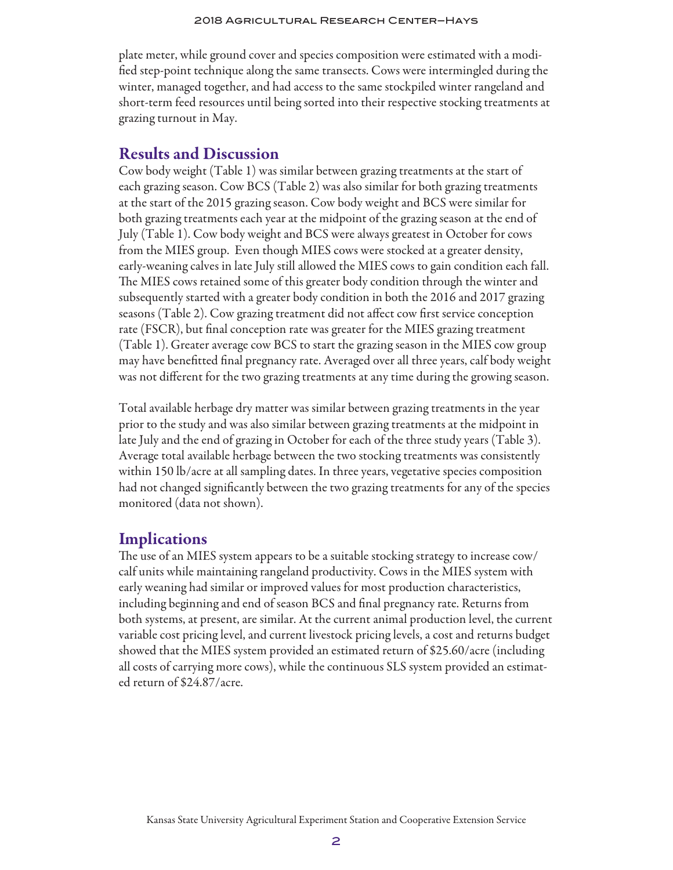plate meter, while ground cover and species composition were estimated with a modified step-point technique along the same transects. Cows were intermingled during the winter, managed together, and had access to the same stockpiled winter rangeland and short-term feed resources until being sorted into their respective stocking treatments at grazing turnout in May.

### Results and Discussion

Cow body weight (Table 1) was similar between grazing treatments at the start of each grazing season. Cow BCS (Table 2) was also similar for both grazing treatments at the start of the 2015 grazing season. Cow body weight and BCS were similar for both grazing treatments each year at the midpoint of the grazing season at the end of July (Table 1). Cow body weight and BCS were always greatest in October for cows from the MIES group. Even though MIES cows were stocked at a greater density, early-weaning calves in late July still allowed the MIES cows to gain condition each fall. The MIES cows retained some of this greater body condition through the winter and subsequently started with a greater body condition in both the 2016 and 2017 grazing seasons (Table 2). Cow grazing treatment did not affect cow first service conception rate (FSCR), but final conception rate was greater for the MIES grazing treatment (Table 1). Greater average cow BCS to start the grazing season in the MIES cow group may have benefitted final pregnancy rate. Averaged over all three years, calf body weight was not different for the two grazing treatments at any time during the growing season.

Total available herbage dry matter was similar between grazing treatments in the year prior to the study and was also similar between grazing treatments at the midpoint in late July and the end of grazing in October for each of the three study years (Table 3). Average total available herbage between the two stocking treatments was consistently within 150 lb/acre at all sampling dates. In three years, vegetative species composition had not changed significantly between the two grazing treatments for any of the species monitored (data not shown).

### **Implications**

The use of an MIES system appears to be a suitable stocking strategy to increase cow/ calf units while maintaining rangeland productivity. Cows in the MIES system with early weaning had similar or improved values for most production characteristics, including beginning and end of season BCS and final pregnancy rate. Returns from both systems, at present, are similar. At the current animal production level, the current variable cost pricing level, and current livestock pricing levels, a cost and returns budget showed that the MIES system provided an estimated return of \$25.60/acre (including all costs of carrying more cows), while the continuous SLS system provided an estimated return of \$24.87/acre.